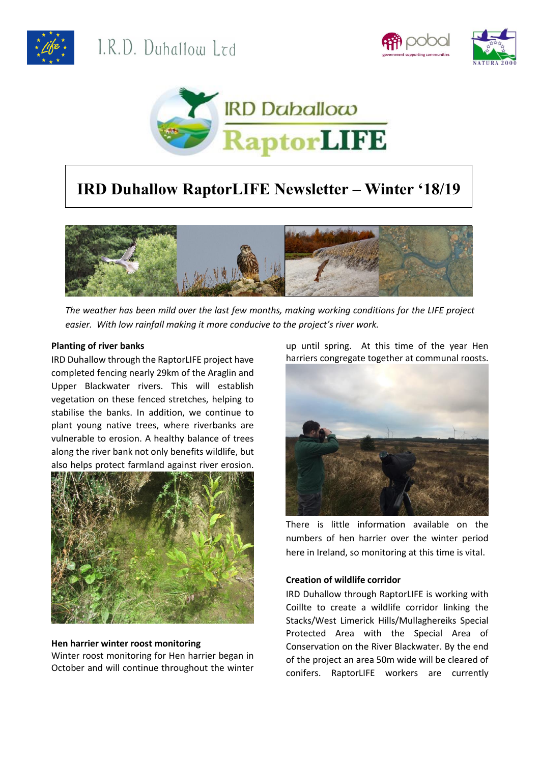





# **IRD Duhallow RaptorLIFE Newsletter – Winter '18/19**



*The weather has been mild over the last few months, making working conditions for the LIFE project easier. With low rainfall making it more conducive to the project's river work.* 

### **Planting of river banks**

IRD Duhallow through the RaptorLIFE project have completed fencing nearly 29km of the Araglin and Upper Blackwater rivers. This will establish vegetation on these fenced stretches, helping to stabilise the banks. In addition, we continue to plant young native trees, where riverbanks are vulnerable to erosion. A healthy balance of trees along the river bank not only benefits wildlife, but also helps protect farmland against river erosion.



## **Hen harrier winter roost monitoring**

Winter roost monitoring for Hen harrier began in October and will continue throughout the winter up until spring. At this time of the year Hen harriers congregate together at communal roosts.



There is little information available on the numbers of hen harrier over the winter period here in Ireland, so monitoring at this time is vital.

# **Creation of wildlife corridor**

IRD Duhallow through RaptorLIFE is working with Coillte to create a wildlife corridor linking the Stacks/West Limerick Hills/Mullaghereiks Special Protected Area with the Special Area of Conservation on the River Blackwater. By the end of the project an area 50m wide will be cleared of conifers. RaptorLIFE workers are currently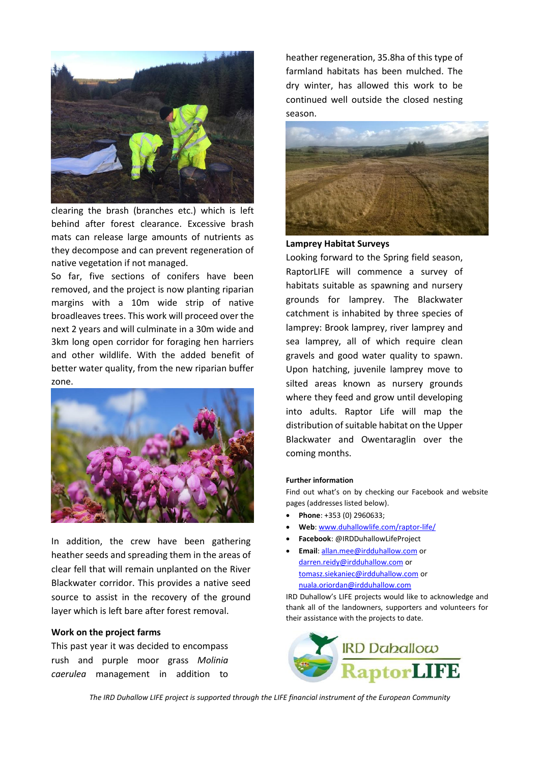

clearing the brash (branches etc.) which is left behind after forest clearance. Excessive brash mats can release large amounts of nutrients as they decompose and can prevent regeneration of native vegetation if not managed.

So far, five sections of conifers have been removed, and the project is now planting riparian margins with a 10m wide strip of native broadleaves trees. This work will proceed over the next 2 years and will culminate in a 30m wide and 3km long open corridor for foraging hen harriers and other wildlife. With the added benefit of better water quality, from the new riparian buffer zone.



In addition, the crew have been gathering heather seeds and spreading them in the areas of clear fell that will remain unplanted on the River Blackwater corridor. This provides a native seed source to assist in the recovery of the ground layer which is left bare after forest removal.

#### **Work on the project farms**

This past year it was decided to encompass rush and purple moor grass *Molinia caerulea* management in addition to heather regeneration, 35.8ha of this type of farmland habitats has been mulched. The dry winter, has allowed this work to be continued well outside the closed nesting season.



#### **Lamprey Habitat Surveys**

Looking forward to the Spring field season, RaptorLIFE will commence a survey of habitats suitable as spawning and nursery grounds for lamprey. The Blackwater catchment is inhabited by three species of lamprey: Brook lamprey, river lamprey and sea lamprey, all of which require clean gravels and good water quality to spawn. Upon hatching, juvenile lamprey move to silted areas known as nursery grounds where they feed and grow until developing into adults. Raptor Life will map the distribution of suitable habitat on the Upper Blackwater and Owentaraglin over the coming months.

#### **Further information**

Find out what's on by checking our Facebook and website pages (addresses listed below).

- **Phone**: +353 (0) 2960633;
- **Web**[: www.duhallowlife.com/raptor-life/](http://www.duhallowlife.com/raptor-life/)
- **Facebook**: @IRDDuhallowLifeProject
- **Email**[: allan.mee@irdduhallow.com](mailto:allan.mee@irdduhallow.com) or [darren.reidy@irdduhallow.com](mailto:darren.reidy@irdduhallow.com) or [tomasz.siekaniec@irdduhallow.com](mailto:tomasz.siekaniec@irdduhallow.com) or [nuala.oriordan@irdduhallow.com](mailto:nuala.oriordan@irdduhallow.com)

IRD Duhallow's LIFE projects would like to acknowledge and thank all of the landowners, supporters and volunteers for their assistance with the projects to date.



*The IRD Duhallow LIFE project is supported through the LIFE financial instrument of the European Community*